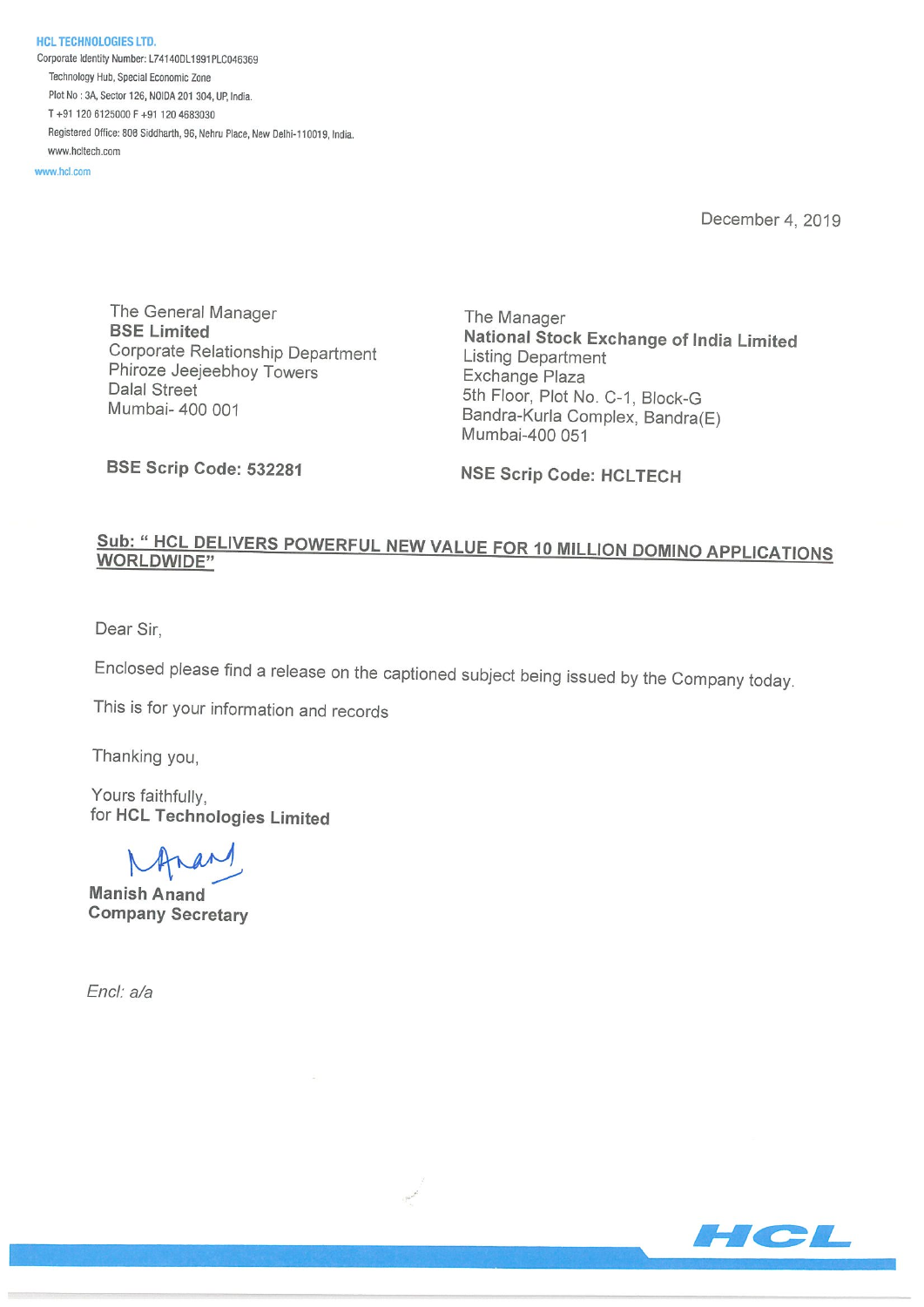HCL TECHNOLOGIES LTD. Corporate Identity Number: L74140DL1991PLC046369 Technology Hub, Special Economic Zone Plot No: 3k Sector 126, NOIDA <sup>201</sup> 304, UP, India. T+91 120 6125000 F+91 120 4683030 Registered Office: 806 Siddharth, 96, Nehru Place, New Delhi-110019, India. www.hcitech.com

www.hcl.com

December 4, 2019

The General Manager The Manager Corporate Relationship Department Listing Department Phiroze Jeejeebhoy Towers Exchange Plaza Dalal Street<br>
Mumbai- 400 001<br>
Mumbai- 400 001<br>
Bandra-Kurla Complex, Bandra-Kurla

BSE Limited National Stock Exchange of India Limited Bandra-Kurla Complex, Bandra(E) Mumbai-400 051

BSE Scrip Code: 532281 NSE Scrip Code: HCLTECH

## Sub: " HCL DELIVERS POWERFUL NEW VALUE FOR 10 MILLION DOMINO APPLICATIONS WORLDWIDE"

Dear Sir,

Enclosed please find a release on the captioned subject being issued by the Company today.

This is for your information and records

Thanking you,

Yours faithfully, for HCL Technologies Limited

 $M$ nar

Manish Anand Company Secretary

End: a/a

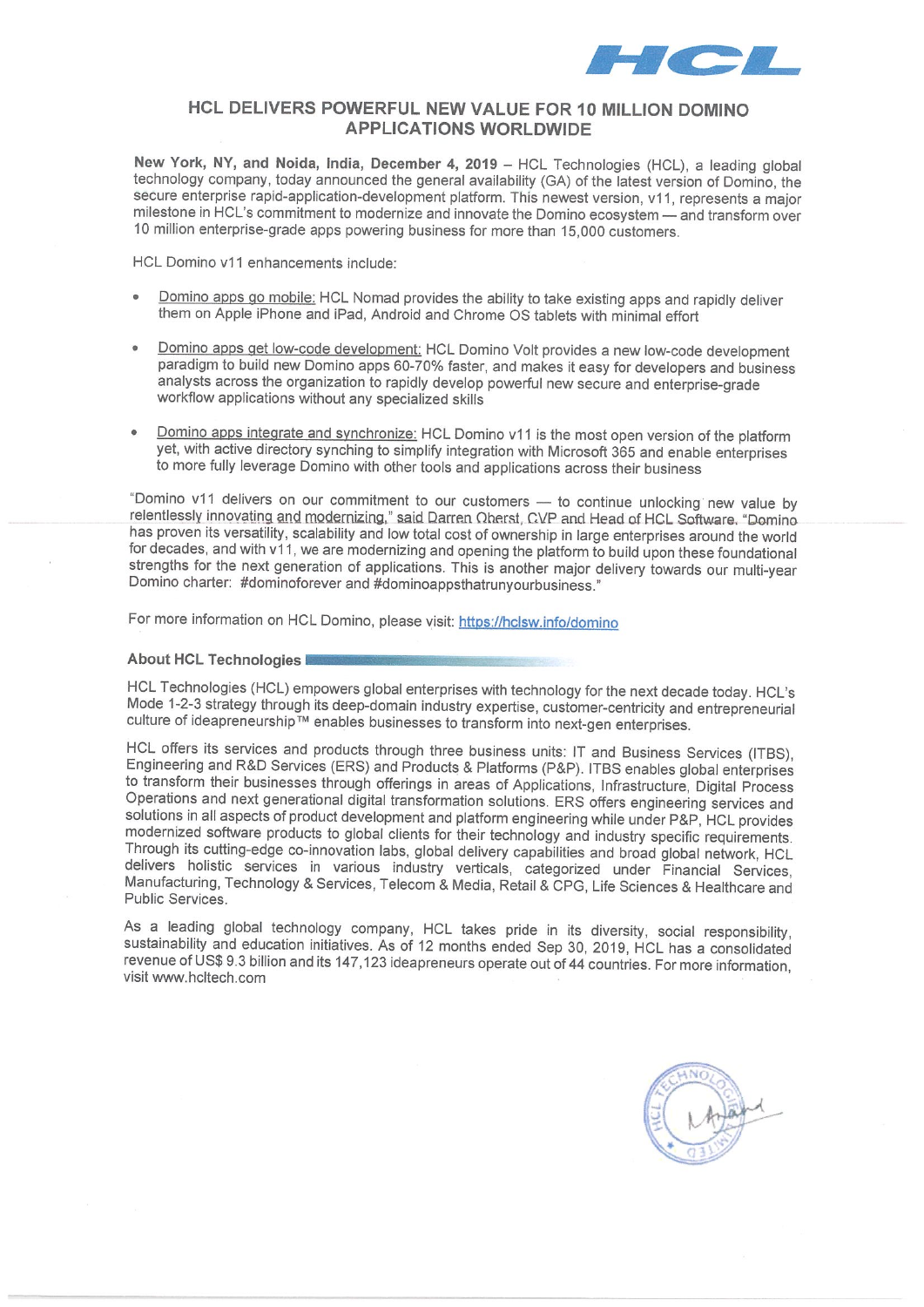

## HCL DELIVERS POWERFUL NEW VALUE FOR 10 MILLION DOMINO APPLICATIONS WORLDWIDE

New York, NY, and Noida, India, December 4, 2019 — HCL Technologies (HCL), a leading global technology company, today announced the general availability (GA) of the latest version of Domino, the secure enterprise rapid-application-development platform. This newest version, v11, represents a major milestone in HCL's commitment to modernize and innovate the Domino ecosystem — and transform over 10 million enterprise-grade apps powering business for more than 15,000 customers.

HCL Domino v11 enhancements include:

- Domino apps go mobile: HCL Nomad provides the ability to take existing apps and rapidly deliver them on Apple iPhone and iPad, Android and Chrome OS tablets with minimal effort
- Domino apps get low-code development: HCL Domino Volt provides a new low-code development paradigm to build new Domino apps 60-70% faster, and makes it easy for developers and business analysts across the organization to rapidly develop powerful new secure and enterprise-grade workflow applications without any specialized skills
- Domino apps integrate and synchronize: HCL Domino v11 is the most open version of the platform yet, with active directory synching to simplify integration with Microsoft 365 and enable enterprises to more fully leverage Domino with other tools and applications across their business

"Domino v11 delivers on our commitment to our customers - to continue unlocking new value by relentlessly innovating and modernizing," said Darren Oberst, CVP and Head of HCL Software. "Domino has proven its versatility, scalability and low total cost of ownership in large enterprises around the world for decades, and with v11, we are modernizing and opening the platform to build upon these foundational strengths for the next generation of applications. This is another major delivery towards our multi-year Domino charter: #dominoforever and #dominoappsthatrunyourbusiness."

For more information on HCL Domino, please visit: https://hclsw.info/domino

## About HCL Technologies

HCL Technologies (HCL) empowers global enterprises with technology for the next decade today. HCL's Mode 1-2-3 strategy through its deep-domain industry expertise, customer-centricity and entrepreneurial culture of ideapreneurship™ enables businesses to transform into next-gen enterprises.

HCL offers its services and products through three business units: IT and Business Services (ITBS), Engineering and R&D Services (ERS) and Products & Platforms (P&P). ITBS enables global enterprises to transform their businesses through offerings in areas of Applications, Infrastructure, Digital Process Operations and next generational digital transformation solutions. ERS offers engineering services and solutions in all aspects of product development and platform engineering while under P&P, HCL provides modernized software products to global clients for their technology and industry specific requirements. Through its cutting-edge co-innovation labs, global delivery capabilities and broad global network, HCL delivers holistic services in various industry verticals, categorized under Financial Services, Manufacturing, Technology & Services, Telecom & Media, Retail & CPG, Life Sciences & Healthcare and Public Services.

As a leading global technology company, HCL takes pride in its diversity, social responsibility, sustainability and education initiatives. As of i2 months ended Sep 30, 2019, HCL has a consolidated revenue of US\$ 9.3 billion and its 147,123 ideapreneurs operate out of 44 countries. For more information, visit www.hcltech.com